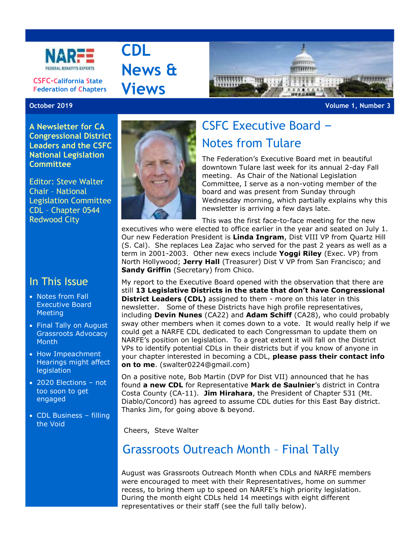

**CSFC-California State Federation of Chapters**

**A Newsletter for CA Congressional District Leaders and the CSFC National Legislation** 

Editor: Steve Walter Chair – National

**Committee**

**CDL News & Views**



**October 2019 Volume 1, Number 3**



# CSFC Executive Board – Notes from Tulare

The Federation's Executive Board met in beautiful downtown Tulare last week for its annual 2-day Fall meeting. As Chair of the National Legislation Committee, I serve as a non-voting member of the board and was present from Sunday through Wednesday morning, which partially explains why this newsletter is arriving a few days late.

This was the first face-to-face meeting for the new executives who were elected to office earlier in the year and seated on July 1. Our new Federation President is **Linda Ingram**, Dist VIII VP from Quartz Hill (S. Cal). She replaces Lea Zajac who served for the past 2 years as well as a term in 2001-2003. Other new execs include **Yoggi Riley** (Exec. VP) from North Hollywood; **Jerry Hall** (Treasurer) Dist V VP from San Francisco; and **Sandy Griffin** (Secretary) from Chico.

My report to the Executive Board opened with the observation that there are still **13 Legislative Districts in the state that don't have Congressional District Leaders (CDL)** assigned to them - more on this later in this newsletter. Some of these Districts have high profile representatives, including **Devin Nunes** (CA22) and **Adam Schiff** (CA28), who could probably sway other members when it comes down to a vote. It would really help if we could get a NARFE CDL dedicated to each Congressman to update them on NARFE's position on legislation. To a great extent it will fall on the District VPs to identify potential CDLs in their districts but if you know of anyone in your chapter interested in becoming a CDL, **please pass their contact info on to me**. (swalter0224@gmail.com)

On a positive note, Bob Martin (DVP for Dist VII) announced that he has found **a new CDL** for Representative **Mark de Saulnier**'s district in Contra Costa County (CA-11). **Jim Hirahara**, the President of Chapter 531 (Mt. Diablo/Concord) has agreed to assume CDL duties for this East Bay district. Thanks Jim, for going above & beyond.

Cheers, Steve Walter

## Grassroots Outreach Month – Final Tally

August was Grassroots Outreach Month when CDLs and NARFE members were encouraged to meet with their Representatives, home on summer recess, to bring them up to speed on NARFE's high priority legislation. During the month eight CDLs held 14 meetings with eight different representatives or their staff (see the full tally below).

# Redwood City

Legislation Committee CDL – Chapter 0544

#### In This Issue

- Notes from Fall Executive Board **Meeting**
- Final Tally on August Grassroots Advocacy Month
- How Impeachment Hearings might affect legislation
- 2020 Elections not too soon to get engaged
- CDL Business filling the Void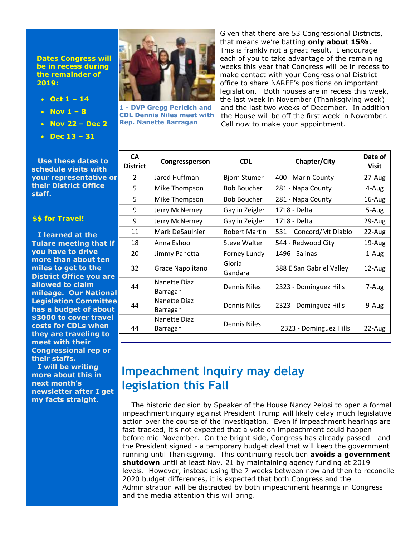#### **Dates Congress will be in recess during the remainder of 2019:**

- **Oct 1 – 14**
- **Nov 1 – 8**
- **Nov 22 – Dec 2**
- **Dec 13 – 31**

**Use these dates to schedule visits with your representative or their District Office staff.**

#### **\$\$ for Travel!**

**I learned at the Tulare meeting that if you have to drive more than about ten miles to get to the District Office you are allowed to claim mileage. Our National Legislation Committee has a budget of about \$3000 to cover travel costs for CDLs when they are traveling to meet with their Congressional rep or their staffs.** 

**I will be writing more about this in next month's newsletter after I get my facts straight.**



**1 - DVP Gregg Pericich and CDL Dennis Niles meet with Rep. Nanette Barragan**

Given that there are 53 Congressional Districts, that means we're batting **only about 15%**. This is frankly not a great result. I encourage each of you to take advantage of the remaining weeks this year that Congress will be in recess to make contact with your Congressional District office to share NARFE's positions on important legislation. Both houses are in recess this week, the last week in November (Thanksgiving week) and the last two weeks of December. In addition the House will be off the first week in November. Call now to make your appointment.

| <b>CA</b><br><b>District</b> | Congressperson           | <b>CDL</b>           | Chapter/City             | Date of<br><b>Visit</b> |
|------------------------------|--------------------------|----------------------|--------------------------|-------------------------|
| $\mathcal{P}$                | Jared Huffman            | <b>Bjorn Stumer</b>  | 400 - Marin County       | 27-Aug                  |
| 5                            | Mike Thompson            | <b>Bob Boucher</b>   | 281 - Napa County        | 4-Aug                   |
| 5                            | Mike Thompson            | <b>Bob Boucher</b>   | 281 - Napa County        | 16-Aug                  |
| 9                            | Jerry McNerney           | Gaylin Zeigler       | 1718 - Delta             | 5-Aug                   |
| 9                            | Jerry McNerney           | Gaylin Zeigler       | 1718 - Delta             | 29-Aug                  |
| 11                           | Mark DeSaulnier          | <b>Robert Martin</b> | 531 - Concord/Mt Diablo  | 22-Aug                  |
| 18                           | Anna Eshoo               | Steve Walter         | 544 - Redwood City       | 19-Aug                  |
| 20                           | Jimmy Panetta            | Forney Lundy         | 1496 - Salinas           | 1-Aug                   |
| 32                           | Grace Napolitano         | Gloria<br>Gandara    | 388 E San Gabriel Valley | 12-Aug                  |
| 44                           | Nanette Diaz<br>Barragan | <b>Dennis Niles</b>  | 2323 - Dominguez Hills   | 7-Aug                   |
| 44                           | Nanette Diaz<br>Barragan | <b>Dennis Niles</b>  | 2323 - Dominguez Hills   | 9-Aug                   |
| 44                           | Nanette Diaz<br>Barragan | <b>Dennis Niles</b>  | 2323 - Dominguez Hills   | 22-Aug                  |

# **Impeachment Inquiry may delay legislation this Fall**

The historic decision by Speaker of the House Nancy Pelosi to open a formal impeachment inquiry against President Trump will likely delay much legislative action over the course of the investigation. Even if impeachment hearings are fast-tracked, it's not expected that a vote on impeachment could happen before mid-November. On the bright side, Congress has already passed - and the President signed - a temporary budget deal that will keep the government running until Thanksgiving. This continuing resolution **avoids a government shutdown** until at least Nov. 21 by maintaining agency funding at 2019 levels. However, instead using the 7 weeks between now and then to reconcile 2020 budget differences, it is expected that both Congress and the Administration will be distracted by both impeachment hearings in Congress and the media attention this will bring.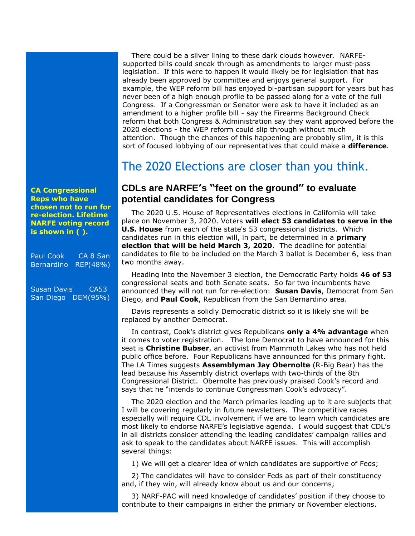There could be a silver lining to these dark clouds however. NARFEsupported bills could sneak through as amendments to larger must-pass legislation. If this were to happen it would likely be for legislation that has already been approved by committee and enjoys general support. For example, the WEP reform bill has enjoyed bi-partisan support for years but has never been of a high enough profile to be passed along for a vote of the full Congress. If a Congressman or Senator were ask to have it included as an amendment to a higher profile bill - say the Firearms Background Check reform that both Congress & Administration say they want approved before the 2020 elections - the WEP reform could slip through without much attention. Though the chances of this happening are probably slim, it is this sort of focused lobbying of our representatives that could make a **difference***.*

### The 2020 Elections are closer than you think.

#### **CDLs are NARFE's "feet on the ground" to evaluate potential candidates for Congress**

The [2020 U.S. House of Representatives](https://ballotpedia.org/United_States_House_of_Representatives_elections,_2020) elections in [California](https://ballotpedia.org/California) will take place on [November 3, 2020.](https://ballotpedia.org/United_States_Congress_elections,_2020) Voters **will elect 53 candidates to serve in the [U.S. House](https://ballotpedia.org/U.S._House)** from each of the state's 53 congressional districts. Which candidates run in this election will, in part, be determined in a **primary election that will be held March 3, 2020**. The deadline for potential candidates to file to be included on the March 3 ballot is December 6, less than two months away.

Heading into the November 3 election, the Democratic Party holds **46 of 53**  congressional seats and both Senate seats. So far two incumbents have announced they will not run for re-election: **Susan Davis**, Democrat from San Diego, and **Paul Cook**, Republican from the San Bernardino area.

Davis represents a solidly Democratic district so it is likely she will be replaced by another Democrat.

In contrast, Cook's district gives Republicans **only a 4% advantage** when it comes to voter registration. The lone Democrat to have announced for this seat is **Christine Bubser**, an activist from Mammoth Lakes who has not held public office before. Four Republicans have announced for this primary fight. The LA Times suggests **Assemblyman Jay Obernolte** (R-Big Bear) has the lead because his Assembly district overlaps with two-thirds of the 8th Congressional District. Obernolte has previously praised Cook's record and says that he "intends to continue Congressman Cook's advocacy".

The 2020 election and the March primaries leading up to it are subjects that I will be covering regularly in future newsletters. The competitive races especially will require CDL involvement if we are to learn which candidates are most likely to endorse NARFE's legislative agenda. I would suggest that CDL's in all districts consider attending the leading candidates' campaign rallies and ask to speak to the candidates about NARFE issues. This will accomplish several things:

1) We will get a clearer idea of which candidates are supportive of Feds;

2) The candidates will have to consider Feds as part of their constituency and, if they win, will already know about us and our concerns;

3) NARF-PAC will need knowledge of candidates' position if they choose to contribute to their campaigns in either the primary or November elections.

**CA Congressional Reps who have chosen not to run for re-election. Lifetime NARFE voting record is shown in ( ).**

Paul Cook CA 8 San Bernardino REP(48%)

Susan Davis CA53 San Diego DEM(95%)